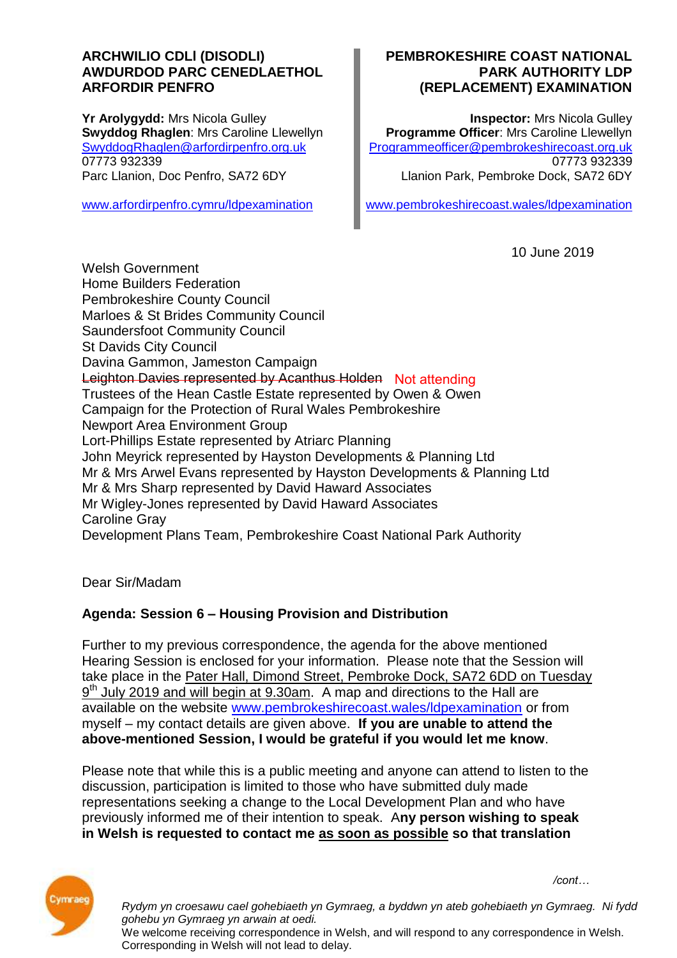#### **ARCHWILIO CDLl (DISODLI) AWDURDOD PARC CENEDLAETHOL ARFORDIR PENFRO**

**Yr Arolygydd:** Mrs Nicola Gulley **Swyddog Rhaglen**: Mrs Caroline Llewellyn [SwyddogRhaglen@arfordirpenfro.org.uk](mailto:SwyddogRhaglen@arfordirpenfro.org.uk) 07773 932339 Parc Llanion, Doc Penfro, SA72 6DY

[www.arfordirpenfro.cymru/ldpexamination](https://www.arfordirpenfro.cymru/ldpexamination)

#### **PEMBROKESHIRE COAST NATIONAL PARK AUTHORITY LDP (REPLACEMENT) EXAMINATION**

**Inspector:** Mrs Nicola Gulley **Programme Officer**: Mrs Caroline Llewellyn [Programmeofficer@pembrokeshirecoast.org.uk](mailto:Programmeofficer@pembrokeshirecoast.org.uk) 07773 932339 Llanion Park, Pembroke Dock, SA72 6DY

[www.pembrokeshirecoast.wales/ldpexamination](https://www.pembrokeshirecoast.wales/ldpexamination)

10 June 2019

Welsh Government Home Builders Federation Pembrokeshire County Council Marloes & St Brides Community Council Saundersfoot Community Council St Davids City Council Davina Gammon, Jameston Campaign Leighton Davies represented by Acanthus Holden Not attendingTrustees of the Hean Castle Estate represented by Owen & Owen Campaign for the Protection of Rural Wales Pembrokeshire Newport Area Environment Group Lort-Phillips Estate represented by Atriarc Planning John Meyrick represented by Hayston Developments & Planning Ltd Mr & Mrs Arwel Evans represented by Hayston Developments & Planning Ltd Mr & Mrs Sharp represented by David Haward Associates Mr Wigley-Jones represented by David Haward Associates Caroline Gray Development Plans Team, Pembrokeshire Coast National Park Authority

Dear Sir/Madam

# **Agenda: Session 6 – Housing Provision and Distribution**

Further to my previous correspondence, the agenda for the above mentioned Hearing Session is enclosed for your information. Please note that the Session will take place in the Pater Hall, Dimond Street, Pembroke Dock, SA72 6DD on Tuesday 9<sup>th</sup> July 2019 and will begin at 9.30am. A map and directions to the Hall are available on the website [www.pembrokeshirecoast.wales/ldpexamination](https://www.pembrokeshirecoast.wales/ldpexamination) or from myself – my contact details are given above. **If you are unable to attend the above-mentioned Session, I would be grateful if you would let me know**.

Please note that while this is a public meeting and anyone can attend to listen to the discussion, participation is limited to those who have submitted duly made representations seeking a change to the Local Development Plan and who have previously informed me of their intention to speak. A**ny person wishing to speak in Welsh is requested to contact me as soon as possible so that translation** 



*/cont…* 

*Rydym yn croesawu cael gohebiaeth yn Gymraeg, a byddwn yn ateb gohebiaeth yn Gymraeg. Ni fydd gohebu yn Gymraeg yn arwain at oedi.*

We welcome receiving correspondence in Welsh, and will respond to any correspondence in Welsh. Corresponding in Welsh will not lead to delay.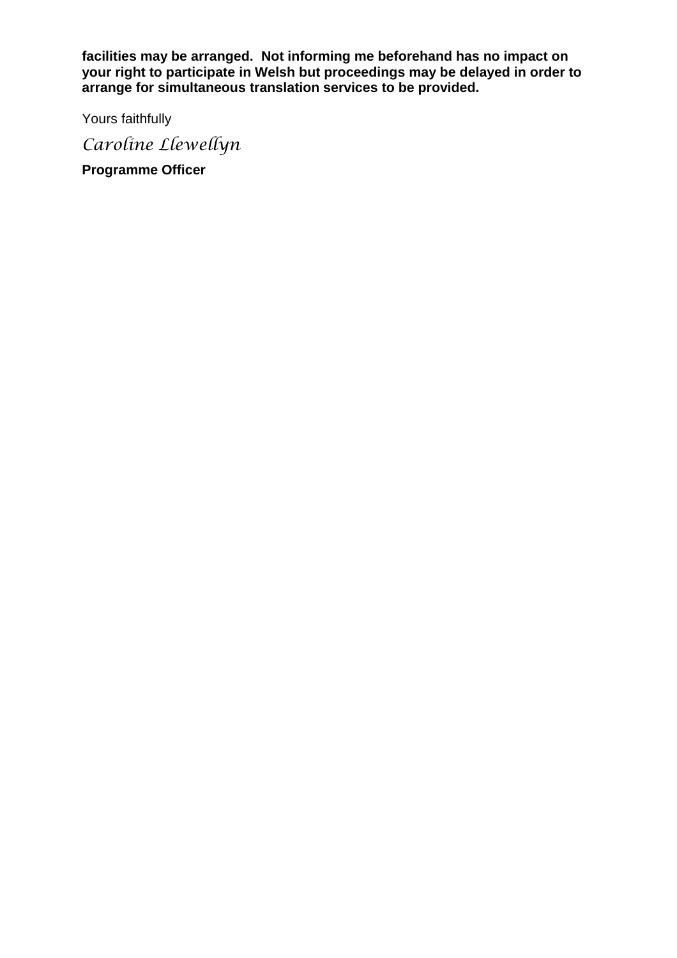**facilities may be arranged. Not informing me beforehand has no impact on your right to participate in Welsh but proceedings may be delayed in order to arrange for simultaneous translation services to be provided.**

Yours faithfully

*Caroline Llewellyn*

**Programme Officer**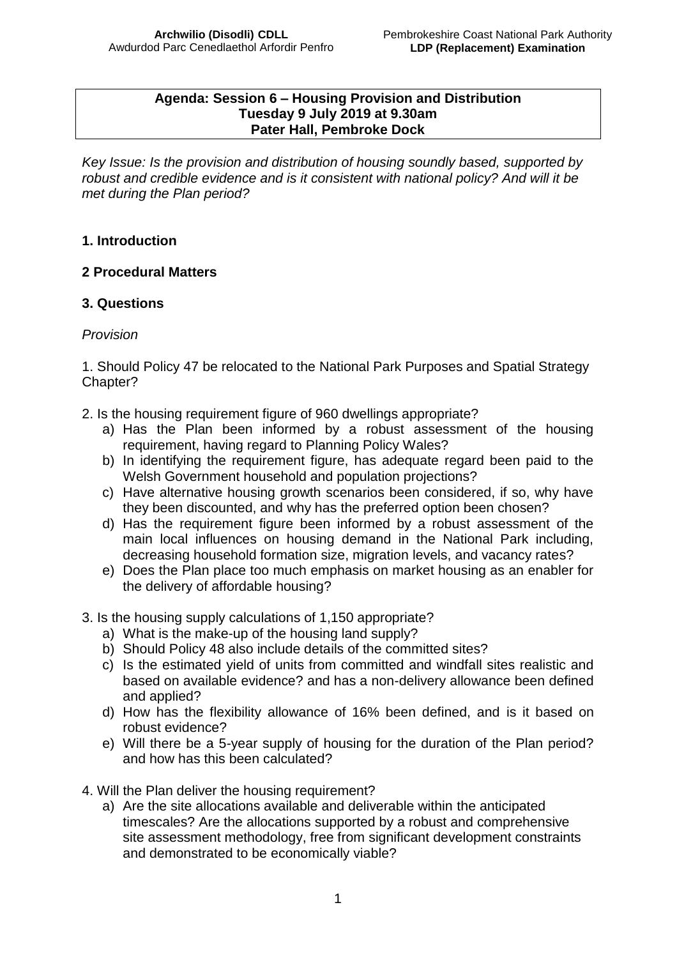#### **Agenda: Session 6 – Housing Provision and Distribution Tuesday 9 July 2019 at 9.30am Pater Hall, Pembroke Dock**

*Key Issue: Is the provision and distribution of housing soundly based, supported by robust and credible evidence and is it consistent with national policy? And will it be met during the Plan period?* 

## **1. Introduction**

## **2 Procedural Matters**

## **3. Questions**

#### *Provision*

1. Should Policy 47 be relocated to the National Park Purposes and Spatial Strategy Chapter?

- 2. Is the housing requirement figure of 960 dwellings appropriate?
	- a) Has the Plan been informed by a robust assessment of the housing requirement, having regard to Planning Policy Wales?
	- b) In identifying the requirement figure, has adequate regard been paid to the Welsh Government household and population projections?
	- c) Have alternative housing growth scenarios been considered, if so, why have they been discounted, and why has the preferred option been chosen?
	- d) Has the requirement figure been informed by a robust assessment of the main local influences on housing demand in the National Park including, decreasing household formation size, migration levels, and vacancy rates?
	- e) Does the Plan place too much emphasis on market housing as an enabler for the delivery of affordable housing?
- 3. Is the housing supply calculations of 1,150 appropriate?
	- a) What is the make-up of the housing land supply?
	- b) Should Policy 48 also include details of the committed sites?
	- c) Is the estimated yield of units from committed and windfall sites realistic and based on available evidence? and has a non-delivery allowance been defined and applied?
	- d) How has the flexibility allowance of 16% been defined, and is it based on robust evidence?
	- e) Will there be a 5-year supply of housing for the duration of the Plan period? and how has this been calculated?
- 4. Will the Plan deliver the housing requirement?
	- a) Are the site allocations available and deliverable within the anticipated timescales? Are the allocations supported by a robust and comprehensive site assessment methodology, free from significant development constraints and demonstrated to be economically viable?